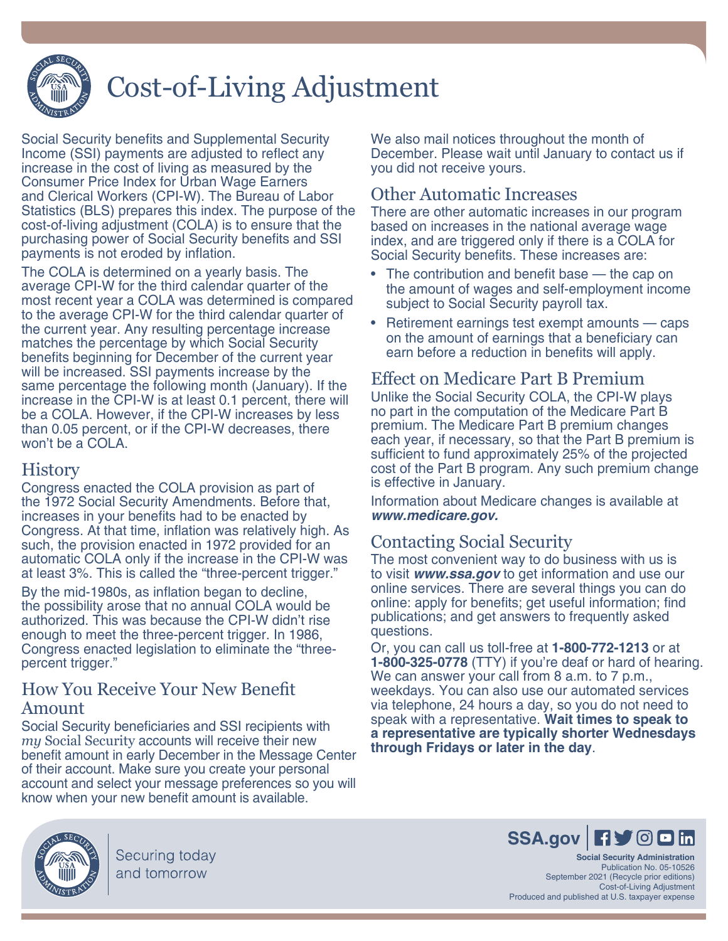

# Cost-of-Living Adjustment

Social Security benefits and Supplemental Security Income (SSI) payments are adjusted to reflect any increase in the cost of living as measured by the Consumer Price Index for Urban Wage Earners and Clerical Workers (CPI-W). The Bureau of Labor Statistics (BLS) prepares this index. The purpose of the cost-of-living adjustment (COLA) is to ensure that the purchasing power of Social Security benefits and SSI payments is not eroded by inflation.

The COLA is determined on a yearly basis. The average CPI-W for the third calendar quarter of the most recent year a COLA was determined is compared to the average CPI-W for the third calendar quarter of the current year. Any resulting percentage increase matches the percentage by which Social Security benefits beginning for December of the current year will be increased. SSI payments increase by the same percentage the following month (January). If the increase in the CPI-W is at least 0.1 percent, there will be a COLA. However, if the CPI-W increases by less than 0.05 percent, or if the CPI-W decreases, there won't be a COLA.

### **History**

Congress enacted the COLA provision as part of the 1972 Social Security Amendments. Before that, increases in your benefits had to be enacted by Congress. At that time, inflation was relatively high. As such, the provision enacted in 1972 provided for an automatic COLA only if the increase in the CPI-W was at least 3%. This is called the "three-percent trigger."

By the mid-1980s, as inflation began to decline, the possibility arose that no annual COLA would be authorized. This was because the CPI-W didn't rise enough to meet the three-percent trigger. In 1986, Congress enacted legislation to eliminate the "threepercent trigger."

### How You Receive Your New Benefit Amount

Social Security beneficiaries and SSI recipients with *my* Social Security accounts will receive their new benefit amount in early December in the Message Center of their account. Make sure you create your personal account and select your message preferences so you will know when your new benefit amount is available.

We also mail notices throughout the month of December. Please wait until January to contact us if you did not receive yours.

## Other Automatic Increases

There are other automatic increases in our program based on increases in the national average wage index, and are triggered only if there is a COLA for Social Security benefits. These increases are:

- The contribution and benefit base the cap on the amount of wages and self-employment income subject to Social Security payroll tax.
- Retirement earnings test exempt amounts caps on the amount of earnings that a beneficiary can earn before a reduction in benefits will apply.

### Effect on Medicare Part B Premium

Unlike the Social Security COLA, the CPI-W plays no part in the computation of the Medicare Part B premium. The Medicare Part B premium changes each year, if necessary, so that the Part B premium is sufficient to fund approximately 25% of the projected cost of the Part B program. Any such premium change is effective in January.

Information about Medicare changes is available at *[www.medicare.gov.](https://www.medicare.gov)*

## Contacting Social Security

The most convenient way to do business with us is to visit *[www.ssa.gov](https://www.ssa.gov)* to get information and use our online services. There are several things you can do online: apply for benefits; get useful information; find [publications;](https://www.ssa.gov/pubs/) and get answers to [frequently asked](https://faq.ssa.gov/)  [questions](https://faq.ssa.gov/).

Or, you can call us toll-free at **1-800-772-1213** or at **1-800-325-0778** (TTY) if you're deaf or hard of hearing. We can answer your call from 8 a.m. to 7 p.m., weekdays. You can also use our automated services via telephone, 24 hours a day, so you do not need to speak with a representative. **Wait times to speak to a representative are typically shorter Wednesdays through Fridays or later in the day**.



Securing today and tomorrow

**Social Security Administration** Publication No. 05-10526 September 2021 (Recycle prior editions) Cost-of-Living Adjustment Produced and published at U.S. taxpayer expense

[SSA.gov](http://www.ssa.gov) **F S** © **D** in